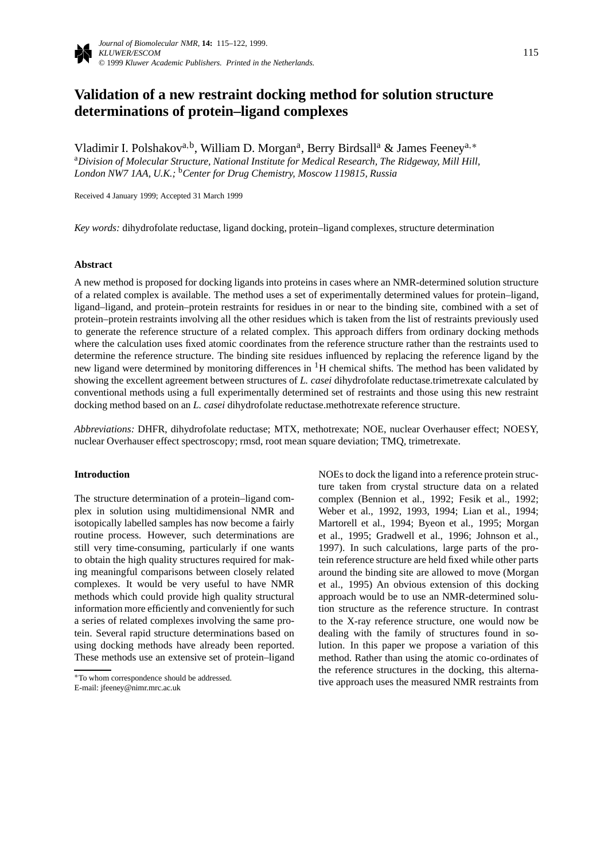# **Validation of a new restraint docking method for solution structure determinations of protein–ligand complexes**

Vladimir I. Polshakova*,*b, William D. Morgana, Berry Birdsalla & James Feeneya*,*<sup>∗</sup> <sup>a</sup>*Division of Molecular Structure, National Institute for Medical Research, The Ridgeway, Mill Hill, London NW7 1AA, U.K.;* <sup>b</sup>*Center for Drug Chemistry, Moscow 119815, Russia*

Received 4 January 1999; Accepted 31 March 1999

*Key words:* dihydrofolate reductase, ligand docking, protein–ligand complexes, structure determination

## **Abstract**

A new method is proposed for docking ligands into proteins in cases where an NMR-determined solution structure of a related complex is available. The method uses a set of experimentally determined values for protein–ligand, ligand–ligand, and protein–protein restraints for residues in or near to the binding site, combined with a set of protein–protein restraints involving all the other residues which is taken from the list of restraints previously used to generate the reference structure of a related complex. This approach differs from ordinary docking methods where the calculation uses fixed atomic coordinates from the reference structure rather than the restraints used to determine the reference structure. The binding site residues influenced by replacing the reference ligand by the new ligand were determined by monitoring differences in  ${}^{1}H$  chemical shifts. The method has been validated by showing the excellent agreement between structures of *L. casei* dihydrofolate reductase.trimetrexate calculated by conventional methods using a full experimentally determined set of restraints and those using this new restraint docking method based on an *L. casei* dihydrofolate reductase.methotrexate reference structure.

*Abbreviations:* DHFR, dihydrofolate reductase; MTX, methotrexate; NOE, nuclear Overhauser effect; NOESY, nuclear Overhauser effect spectroscopy; rmsd, root mean square deviation; TMQ, trimetrexate.

# **Introduction**

The structure determination of a protein–ligand complex in solution using multidimensional NMR and isotopically labelled samples has now become a fairly routine process. However, such determinations are still very time-consuming, particularly if one wants to obtain the high quality structures required for making meaningful comparisons between closely related complexes. It would be very useful to have NMR methods which could provide high quality structural information more efficiently and conveniently for such a series of related complexes involving the same protein. Several rapid structure determinations based on using docking methods have already been reported. These methods use an extensive set of protein–ligand NOEs to dock the ligand into a reference protein structure taken from crystal structure data on a related complex (Bennion et al., 1992; Fesik et al., 1992; Weber et al., 1992, 1993, 1994; Lian et al., 1994; Martorell et al., 1994; Byeon et al., 1995; Morgan et al., 1995; Gradwell et al., 1996; Johnson et al., 1997). In such calculations, large parts of the protein reference structure are held fixed while other parts around the binding site are allowed to move (Morgan et al., 1995) An obvious extension of this docking approach would be to use an NMR-determined solution structure as the reference structure. In contrast to the X-ray reference structure, one would now be dealing with the family of structures found in solution. In this paper we propose a variation of this method. Rather than using the atomic co-ordinates of the reference structures in the docking, this alternative approach uses the measured NMR restraints from

<sup>∗</sup>To whom correspondence should be addressed. E-mail: jfeeney@nimr.mrc.ac.uk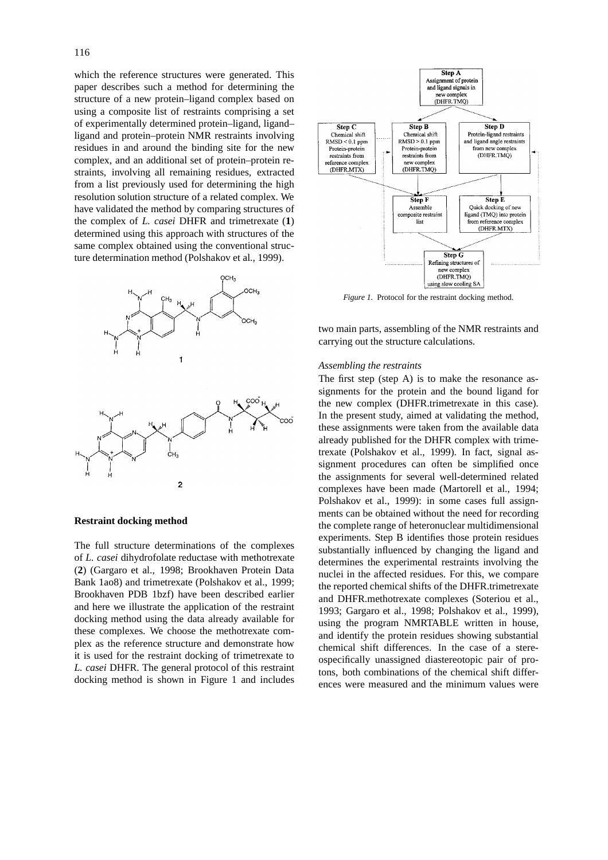which the reference structures were generated. This paper describes such a method for determining the structure of a new protein–ligand complex based on using a composite list of restraints comprising a set of experimentally determined protein–ligand, ligand– ligand and protein–protein NMR restraints involving residues in and around the binding site for the new complex, and an additional set of protein–protein restraints, involving all remaining residues, extracted from a list previously used for determining the high resolution solution structure of a related complex. We have validated the method by comparing structures of the complex of *L. casei* DHFR and trimetrexate (**1**) determined using this approach with structures of the same complex obtained using the conventional structure determination method (Polshakov et al., 1999).



## **Restraint docking method**

The full structure determinations of the complexes of *L. casei* dihydrofolate reductase with methotrexate (**2**) (Gargaro et al., 1998; Brookhaven Protein Data Bank 1ao8) and trimetrexate (Polshakov et al., 1999; Brookhaven PDB 1bzf) have been described earlier and here we illustrate the application of the restraint docking method using the data already available for these complexes. We choose the methotrexate complex as the reference structure and demonstrate how it is used for the restraint docking of trimetrexate to *L. casei* DHFR. The general protocol of this restraint docking method is shown in Figure 1 and includes



*Figure 1.* Protocol for the restraint docking method.

two main parts, assembling of the NMR restraints and carrying out the structure calculations.

#### *Assembling the restraints*

The first step (step A) is to make the resonance assignments for the protein and the bound ligand for the new complex (DHFR.trimetrexate in this case). In the present study, aimed at validating the method, these assignments were taken from the available data already published for the DHFR complex with trimetrexate (Polshakov et al., 1999). In fact, signal assignment procedures can often be simplified once the assignments for several well-determined related complexes have been made (Martorell et al., 1994; Polshakov et al., 1999): in some cases full assignments can be obtained without the need for recording the complete range of heteronuclear multidimensional experiments. Step B identifies those protein residues substantially influenced by changing the ligand and determines the experimental restraints involving the nuclei in the affected residues. For this, we compare the reported chemical shifts of the DHFR.trimetrexate and DHFR.methotrexate complexes (Soteriou et al., 1993; Gargaro et al., 1998; Polshakov et al., 1999), using the program NMRTABLE written in house, and identify the protein residues showing substantial chemical shift differences. In the case of a stereospecifically unassigned diastereotopic pair of protons, both combinations of the chemical shift differences were measured and the minimum values were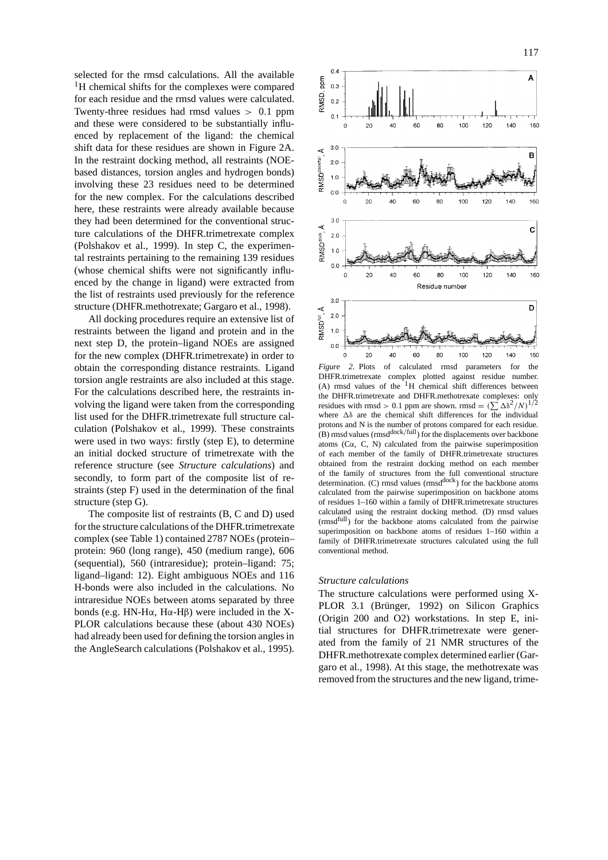selected for the rmsd calculations. All the available <sup>1</sup>H chemical shifts for the complexes were compared for each residue and the rmsd values were calculated. Twenty-three residues had rmsd values *>* 0*.*1 ppm and these were considered to be substantially influenced by replacement of the ligand: the chemical shift data for these residues are shown in Figure 2A. In the restraint docking method, all restraints (NOEbased distances, torsion angles and hydrogen bonds) involving these 23 residues need to be determined for the new complex. For the calculations described here, these restraints were already available because they had been determined for the conventional structure calculations of the DHFR.trimetrexate complex (Polshakov et al., 1999). In step C, the experimental restraints pertaining to the remaining 139 residues (whose chemical shifts were not significantly influenced by the change in ligand) were extracted from the list of restraints used previously for the reference structure (DHFR.methotrexate; Gargaro et al., 1998).

All docking procedures require an extensive list of restraints between the ligand and protein and in the next step D, the protein–ligand NOEs are assigned for the new complex (DHFR.trimetrexate) in order to obtain the corresponding distance restraints. Ligand torsion angle restraints are also included at this stage. For the calculations described here, the restraints involving the ligand were taken from the corresponding list used for the DHFR.trimetrexate full structure calculation (Polshakov et al., 1999). These constraints were used in two ways: firstly (step E), to determine an initial docked structure of trimetrexate with the reference structure (see *Structure calculations*) and secondly, to form part of the composite list of restraints (step F) used in the determination of the final structure (step G).

The composite list of restraints (B, C and D) used for the structure calculations of the DHFR.trimetrexate complex (see Table 1) contained 2787 NOEs (protein– protein: 960 (long range), 450 (medium range), 606 (sequential), 560 (intraresidue); protein–ligand: 75; ligand–ligand: 12). Eight ambiguous NOEs and 116 H-bonds were also included in the calculations. No intraresidue NOEs between atoms separated by three bonds (e.g. HN-Hα, Hα-Hβ) were included in the X-PLOR calculations because these (about 430 NOEs) had already been used for defining the torsion angles in the AngleSearch calculations (Polshakov et al., 1995).



 $0.0$ 60 100  $\Omega$  $20$ 40 80 120 140 160 *Figure 2.* Plots of calculated rmsd parameters for the DHFR.trimetrexate complex plotted against residue number. (A) rmsd values of the  $1H$  chemical shift differences between the DHFR.trimetrexate and DHFR.methotrexate complexes: only residues with rmsd  $> 0.1$  ppm are shown. rmsd  $= (\sum \Delta \delta^2 / N)^{1/2}$ where Δδ are the chemical shift differences for the individual protons and N is the number of protons compared for each residue. (B) rmsd values (rmsd<sup>dock/full</sup>) for the displacements over backbone atoms  $(C\alpha, C, N)$  calculated from the pairwise superimposition of each member of the family of DHFR.trimetrexate structures obtained from the restraint docking method on each member of the family of structures from the full conventional structure determination. (C) rmsd values (rmsd<sup>dock</sup>) for the backbone atoms calculated from the pairwise superimposition on backbone atoms of residues 1–160 within a family of DHFR.trimetrexate structures calculated using the restraint docking method. (D) rmsd values (rmsd<sup>full</sup>) for the backbone atoms calculated from the pairwise superimposition on backbone atoms of residues 1–160 within a family of DHFR.trimetrexate structures calculated using the full conventional method.

#### *Structure calculations*

 $0.4$ 

 $\mathbf 0$ 

 $3.0$  $\prec$ 

 $3.0$  $\prec$ 

 $3.0$ 

 $20$ 

 $20$ 

 $20$ 

 $\overline{A}$ 

40

40

60

80

Residue number

100

120

140

160

D

mdd  $0.3$ 

RMSD.  $0.2$  $0<sub>1</sub>$ 

ock/full  $20$ 

**RMSD<sup>dc</sup>**  $1.0$  $0<sub>0</sub>$  $\circ$ 

RMSD<sup>dock</sup>  $2.0$  $1.0$  $0.0$  $\mathbf{o}$ 

⋖  $2.0$ RMSD<sup>ful</sup>,  $1.0$ 

The structure calculations were performed using X-PLOR 3.1 (Brünger, 1992) on Silicon Graphics (Origin 200 and O2) workstations. In step E, initial structures for DHFR.trimetrexate were generated from the family of 21 NMR structures of the DHFR.methotrexate complex determined earlier (Gargaro et al., 1998). At this stage, the methotrexate was removed from the structures and the new ligand, trime-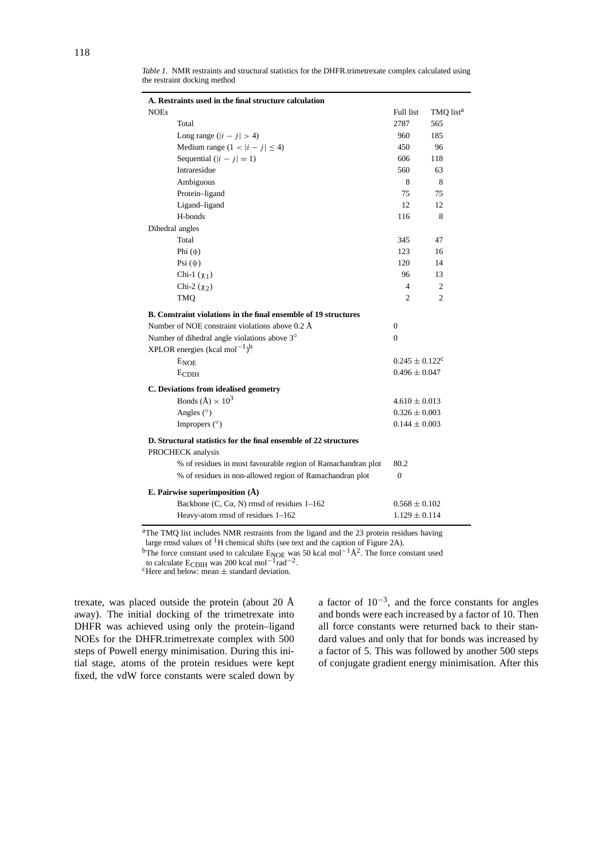| A. Restraints used in the final structure calculation                  |                     |                       |
|------------------------------------------------------------------------|---------------------|-----------------------|
| <b>NOEs</b>                                                            | Full list           | TMQ list <sup>a</sup> |
| Total                                                                  | 2787                | 565                   |
| Long range $( i - j  > 4)$                                             | 960                 | 185                   |
| Medium range $(1 <  i - j  \le 4)$                                     | 450                 | 96                    |
| Sequential $( i - j  = 1)$                                             | 606                 | 118                   |
| Intraresidue                                                           | 560                 | 63                    |
| Ambiguous                                                              | 8                   | 8                     |
| Protein-ligand                                                         | 75                  | 75                    |
| Ligand-ligand                                                          | 12                  | 12                    |
| H-bonds                                                                | 116                 | 8                     |
| Dihedral angles                                                        |                     |                       |
| Total                                                                  | 345                 | 47                    |
| Phi $(\phi)$                                                           | 123                 | 16                    |
| Psi $(\psi)$                                                           | 120                 | 14                    |
| Chi-1 $(\chi_1)$                                                       | 96                  | 13                    |
| Chi-2 $(\chi_2)$                                                       | 4                   | 2                     |
| TMQ                                                                    | 2                   | $\overline{c}$        |
| <b>B.</b> Constraint violations in the final ensemble of 19 structures |                     |                       |
| Number of NOE constraint violations above 0.2 Å                        | $\mathbf{0}$        |                       |
| Number of dihedral angle violations above 3°                           | $\overline{0}$      |                       |
| XPLOR energies (kcal mol <sup>-1</sup> ) <sup>b</sup>                  |                     |                       |
| <b>ENOE</b>                                                            | $0.245 \pm 0.122^c$ |                       |
| E <sub>CDIH</sub>                                                      | $0.496 \pm 0.047$   |                       |
| C. Deviations from idealised geometry                                  |                     |                       |
| Bonds ( $\rm \AA) \times 10^3$                                         | $4.610 \pm 0.013$   |                       |
| Angles $(°)$                                                           | $0.326 \pm 0.003$   |                       |
| Impropers $(°)$                                                        | $0.144 \pm 0.003$   |                       |
| D. Structural statistics for the final ensemble of 22 structures       |                     |                       |
| PROCHECK analysis                                                      |                     |                       |
| % of residues in most favourable region of Ramachandran plot           | 80.2                |                       |
| % of residues in non-allowed region of Ramachandran plot               | $\mathbf{0}$        |                       |
| E. Pairwise superimposition $(\AA)$                                    |                     |                       |
| Backbone (C, C $\alpha$ , N) rmsd of residues 1–162                    | $0.568 \pm 0.102$   |                       |
| Heavy-atom rmsd of residues 1-162                                      | $1.129 \pm 0.114$   |                       |

*Table 1.* NMR restraints and structural statistics for the DHFR.trimetrexate complex calculated using the restraint docking method

<sup>a</sup>The TMQ list includes NMR restraints from the ligand and the 23 protein residues having large rmsd values of <sup>1</sup>H chemical shifts (see text and the caption of Figure 2A).

bThe force constant used to calculate ENOE was 50 kcal mol−1Å2. The force constant used

to calculate  $E_{CDIH}$  was 200 kcal mol<sup>-1</sup>rad<sup>-2</sup>. <sup>c</sup>Here and below: mean  $\pm$  standard deviation.

trexate, was placed outside the protein (about 20 Å away). The initial docking of the trimetrexate into DHFR was achieved using only the protein–ligand NOEs for the DHFR.trimetrexate complex with 500 steps of Powell energy minimisation. During this initial stage, atoms of the protein residues were kept fixed, the vdW force constants were scaled down by

a factor of  $10^{-3}$ , and the force constants for angles and bonds were each increased by a factor of 10. Then all force constants were returned back to their standard values and only that for bonds was increased by a factor of 5. This was followed by another 500 steps of conjugate gradient energy minimisation. After this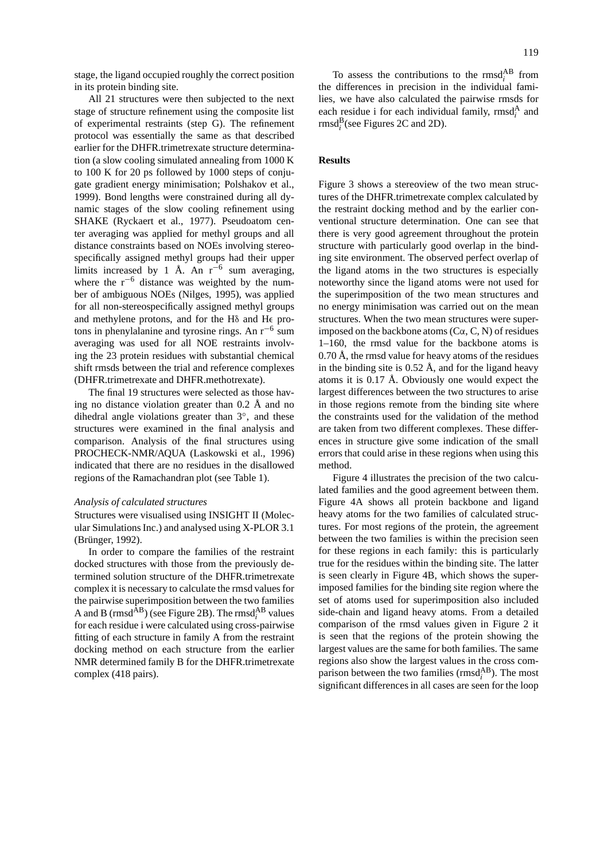stage, the ligand occupied roughly the correct position in its protein binding site.

All 21 structures were then subjected to the next stage of structure refinement using the composite list of experimental restraints (step G). The refinement protocol was essentially the same as that described earlier for the DHFR.trimetrexate structure determination (a slow cooling simulated annealing from 1000 K to 100 K for 20 ps followed by 1000 steps of conjugate gradient energy minimisation; Polshakov et al., 1999). Bond lengths were constrained during all dynamic stages of the slow cooling refinement using SHAKE (Ryckaert et al., 1977). Pseudoatom center averaging was applied for methyl groups and all distance constraints based on NOEs involving stereospecifically assigned methyl groups had their upper limits increased by 1 Å. An  $r^{-6}$  sum averaging, where the  $r^{-6}$  distance was weighted by the number of ambiguous NOEs (Nilges, 1995), was applied for all non-stereospecifically assigned methyl groups and methylene protons, and for the Hδ and He protons in phenylalanine and tyrosine rings. An r−<sup>6</sup> sum averaging was used for all NOE restraints involving the 23 protein residues with substantial chemical shift rmsds between the trial and reference complexes (DHFR.trimetrexate and DHFR.methotrexate).

The final 19 structures were selected as those having no distance violation greater than 0.2 Å and no dihedral angle violations greater than 3◦, and these structures were examined in the final analysis and comparison. Analysis of the final structures using PROCHECK-NMR/AQUA (Laskowski et al., 1996) indicated that there are no residues in the disallowed regions of the Ramachandran plot (see Table 1).

## *Analysis of calculated structures*

Structures were visualised using INSIGHT II (Molecular Simulations Inc.) and analysed using X-PLOR 3.1 (Brünger, 1992).

In order to compare the families of the restraint docked structures with those from the previously determined solution structure of the DHFR.trimetrexate complex it is necessary to calculate the rmsd values for the pairwise superimposition between the two families A and B ( $\text{rmsd}^{\text{AB}}$ ) (see Figure 2B). The  $\text{rmsd}^{\text{AB}}_i$  values for each residue i were calculated using cross-pairwise fitting of each structure in family A from the restraint docking method on each structure from the earlier NMR determined family B for the DHFR.trimetrexate complex (418 pairs).

To assess the contributions to the  $\text{rmsd}_{i}^{\text{AB}}$  from the differences in precision in the individual families, we have also calculated the pairwise rmsds for each residue i for each individual family,  $\text{rmsd}_i^{\text{A}}$  and  $\text{rmsd}_i^{\text{B}}$  (see Figures 2C and 2D).

## **Results**

Figure 3 shows a stereoview of the two mean structures of the DHFR.trimetrexate complex calculated by the restraint docking method and by the earlier conventional structure determination. One can see that there is very good agreement throughout the protein structure with particularly good overlap in the binding site environment. The observed perfect overlap of the ligand atoms in the two structures is especially noteworthy since the ligand atoms were not used for the superimposition of the two mean structures and no energy minimisation was carried out on the mean structures. When the two mean structures were superimposed on the backbone atoms (Cα, C, N) of residues 1–160, the rmsd value for the backbone atoms is 0.70 Å, the rmsd value for heavy atoms of the residues in the binding site is  $0.52$  Å, and for the ligand heavy atoms it is 0.17 Å. Obviously one would expect the largest differences between the two structures to arise in those regions remote from the binding site where the constraints used for the validation of the method are taken from two different complexes. These differences in structure give some indication of the small errors that could arise in these regions when using this method.

Figure 4 illustrates the precision of the two calculated families and the good agreement between them. Figure 4A shows all protein backbone and ligand heavy atoms for the two families of calculated structures. For most regions of the protein, the agreement between the two families is within the precision seen for these regions in each family: this is particularly true for the residues within the binding site. The latter is seen clearly in Figure 4B, which shows the superimposed families for the binding site region where the set of atoms used for superimposition also included side-chain and ligand heavy atoms. From a detailed comparison of the rmsd values given in Figure 2 it is seen that the regions of the protein showing the largest values are the same for both families. The same regions also show the largest values in the cross comparison between the two families ( $\text{rmsd}_{i}^{\text{AB}}$ ). The most significant differences in all cases are seen for the loop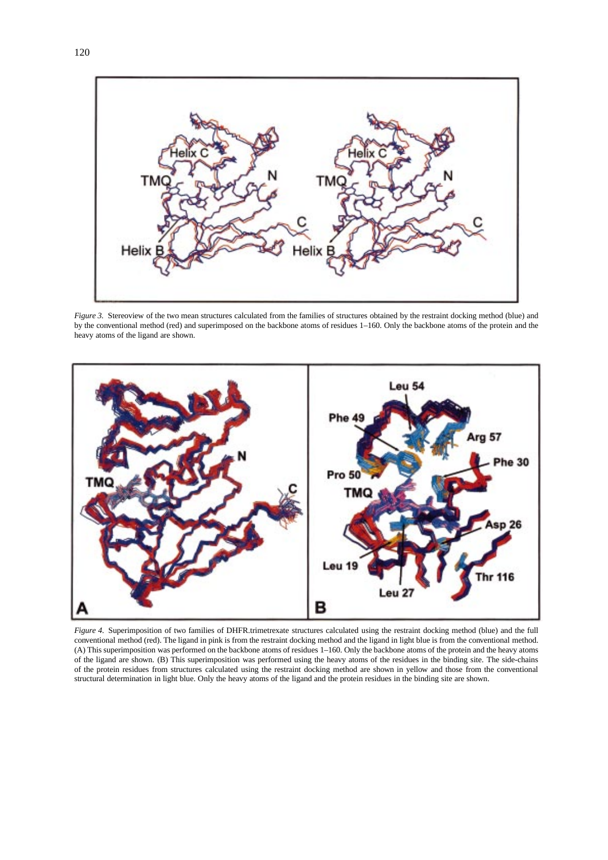

*Figure 3.* Stereoview of the two mean structures calculated from the families of structures obtained by the restraint docking method (blue) and by the conventional method (red) and superimposed on the backbone atoms of residues 1–160. Only the backbone atoms of the protein and the heavy atoms of the ligand are shown.



*Figure 4.* Superimposition of two families of DHFR.trimetrexate structures calculated using the restraint docking method (blue) and the full conventional method (red). The ligand in pink is from the restraint docking method and the ligand in light blue is from the conventional method. (A) This superimposition was performed on the backbone atoms of residues 1–160. Only the backbone atoms of the protein and the heavy atoms of the ligand are shown. (B) This superimposition was performed using the heavy atoms of the residues in the binding site. The side-chains of the protein residues from structures calculated using the restraint docking method are shown in yellow and those from the conventional structural determination in light blue. Only the heavy atoms of the ligand and the protein residues in the binding site are shown.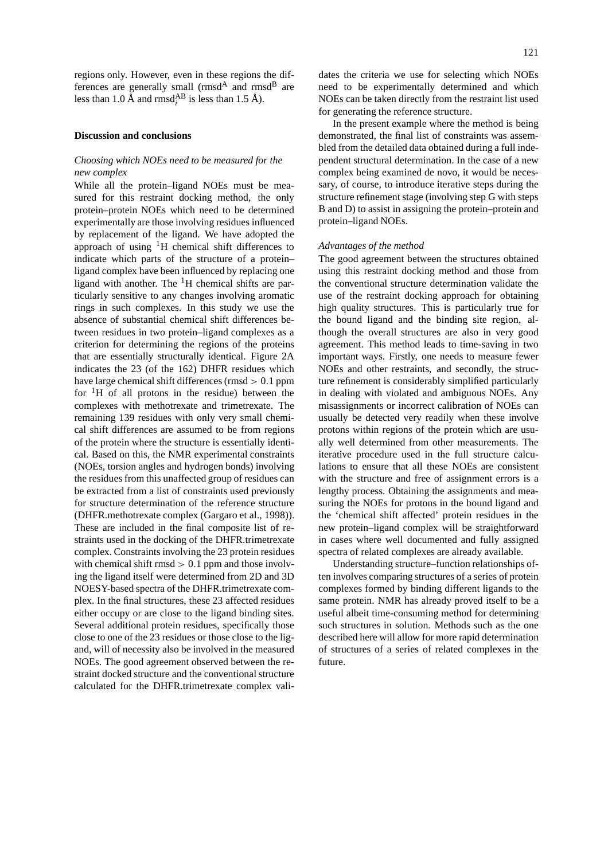regions only. However, even in these regions the differences are generally small ( $\text{rmsd}^{\text{A}}$  and  $\text{rmsd}^{\text{B}}$  are less than 1.0  $\AA$  and rmsd<sup>AB</sup> is less than 1.5  $\AA$ ).

#### **Discussion and conclusions**

# *Choosing which NOEs need to be measured for the new complex*

While all the protein–ligand NOEs must be measured for this restraint docking method, the only protein–protein NOEs which need to be determined experimentally are those involving residues influenced by replacement of the ligand. We have adopted the approach of using  ${}^{1}H$  chemical shift differences to indicate which parts of the structure of a protein– ligand complex have been influenced by replacing one ligand with another. The  $\rm{^1H}$  chemical shifts are particularly sensitive to any changes involving aromatic rings in such complexes. In this study we use the absence of substantial chemical shift differences between residues in two protein–ligand complexes as a criterion for determining the regions of the proteins that are essentially structurally identical. Figure 2A indicates the 23 (of the 162) DHFR residues which have large chemical shift differences (rmsd *>* 0*.*1 ppm for  ${}^{1}H$  of all protons in the residue) between the complexes with methotrexate and trimetrexate. The remaining 139 residues with only very small chemical shift differences are assumed to be from regions of the protein where the structure is essentially identical. Based on this, the NMR experimental constraints (NOEs, torsion angles and hydrogen bonds) involving the residues from this unaffected group of residues can be extracted from a list of constraints used previously for structure determination of the reference structure (DHFR.methotrexate complex (Gargaro et al., 1998)). These are included in the final composite list of restraints used in the docking of the DHFR.trimetrexate complex. Constraints involving the 23 protein residues with chemical shift rmsd *>* 0*.*1 ppm and those involving the ligand itself were determined from 2D and 3D NOESY-based spectra of the DHFR.trimetrexate complex. In the final structures, these 23 affected residues either occupy or are close to the ligand binding sites. Several additional protein residues, specifically those close to one of the 23 residues or those close to the ligand, will of necessity also be involved in the measured NOEs. The good agreement observed between the restraint docked structure and the conventional structure calculated for the DHFR.trimetrexate complex validates the criteria we use for selecting which NOEs need to be experimentally determined and which NOEs can be taken directly from the restraint list used for generating the reference structure.

In the present example where the method is being demonstrated, the final list of constraints was assembled from the detailed data obtained during a full independent structural determination. In the case of a new complex being examined de novo, it would be necessary, of course, to introduce iterative steps during the structure refinement stage (involving step G with steps B and D) to assist in assigning the protein–protein and protein–ligand NOEs.

#### *Advantages of the method*

The good agreement between the structures obtained using this restraint docking method and those from the conventional structure determination validate the use of the restraint docking approach for obtaining high quality structures. This is particularly true for the bound ligand and the binding site region, although the overall structures are also in very good agreement. This method leads to time-saving in two important ways. Firstly, one needs to measure fewer NOEs and other restraints, and secondly, the structure refinement is considerably simplified particularly in dealing with violated and ambiguous NOEs. Any misassignments or incorrect calibration of NOEs can usually be detected very readily when these involve protons within regions of the protein which are usually well determined from other measurements. The iterative procedure used in the full structure calculations to ensure that all these NOEs are consistent with the structure and free of assignment errors is a lengthy process. Obtaining the assignments and measuring the NOEs for protons in the bound ligand and the 'chemical shift affected' protein residues in the new protein–ligand complex will be straightforward in cases where well documented and fully assigned spectra of related complexes are already available.

Understanding structure–function relationships often involves comparing structures of a series of protein complexes formed by binding different ligands to the same protein. NMR has already proved itself to be a useful albeit time-consuming method for determining such structures in solution. Methods such as the one described here will allow for more rapid determination of structures of a series of related complexes in the future.